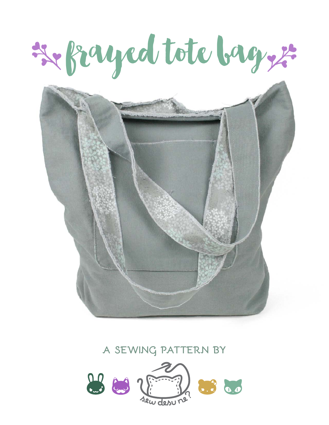# frayed tote bag



### **a sewing pattern by**

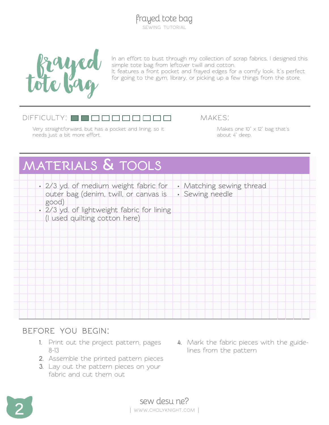

In an effort to bust through my collection of scrap fabrics, I designed this simple tote bag from leftover twill and cotton.

It features a front pocket and frayed edges for a comfy look. It's perfect for going to the gym, library, or picking up a few things from the store.

#### difficulty:

Very straightforward, but has a pocket and lining, so it needs just a bit more effort.

makes:

Makes one 10"  $\times$  12" bag that's about 4" deep.

# **materials & tools**

- **• Matching sewing thread • Sewing needle • 2/3 yd. of medium weight fabric for outer bag (denim, twill, or canvas is good)**
	- **• 2/3 yd. of lightweight fabric for lining**
	- **(I used quilting cotton here)**

#### **before you begin:**

- **1.** Print out the project pattern, pages 8-13
- **2.** Assemble the printed pattern pieces
- **3.** Lay out the pattern pieces on your fabric and cut them out
- **4.** Mark the fabric pieces with the guidelines from the pattern

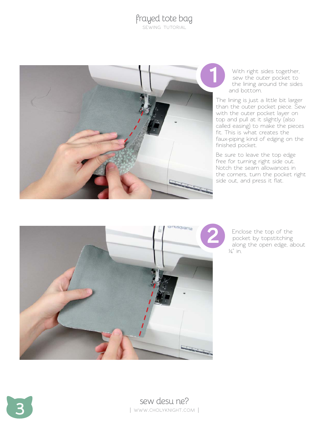

With right sides together, sew the outer pocket to the lining around the sides and bottom.

The lining is just a little bit larger than the outer pocket piece. Sew with the outer pocket layer on top and pull at it slightly (also called easing) to make the pieces fit. This is what creates the faux-piping kind of edging on the finished pocket.

Be sure to leave the top edge free for turning right side out. Notch the seam allowances in the corners, turn the pocket right side out, and press it flat.



Enclose the top of the pocket by topstitching along the open edge, about  $\frac{1}{4}$  in.

Sew desu ne? | www.cholyknight.com |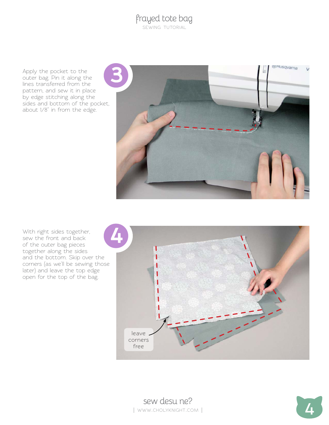Apply the pocket to the outer bag. Pin it along the lines transferred from the pattern, and sew it in place by edge stitching along the sides and bottom of the pocket, about 1/8" in from the edge.



With right sides together, sew the front and back of the outer bag pieces together along the sides and the bottom. Skip over the corners (as we'll be sewing those later) and leave the top edge open for the top of the bag.





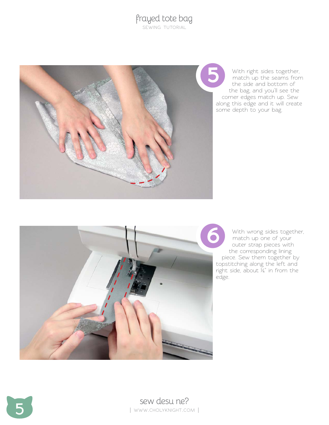## frayed tote bag

sewing tutorial



With right sides together, match up the seams from the side and bottom of the bag, and you'll see the corner edges match up. Sew along this edge and it will create some depth to your bag.



With wrong sides together, match up one of your outer strap pieces with the corresponding lining piece. Sew them together by topstitching along the left and right side, about ¼" in from the edge.



**5** sew desu ne? | www.cholyknight.com |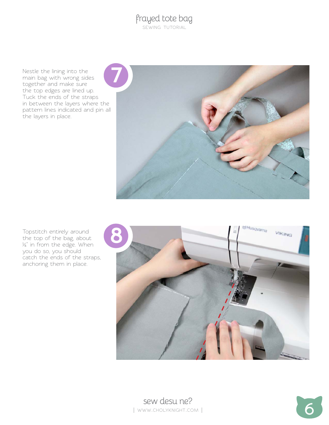Nestle the lining into the main bag with wrong sides together and make sure the top edges are lined up. Tuck the ends of the straps in between the layers where the pattern lines indicated and pin all the layers in place.



Topstitch entirely around the top of the bag, about ¼" in from the edge. When you do so, you should catch the ends of the straps, anchoring them in place.



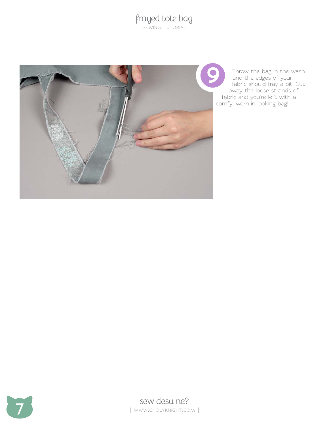

Throw the bag in the wash and the edges of your fabric should fray a bit. Cut away the loose strands of fabric and you're left with a comfy, worn-in looking bag!

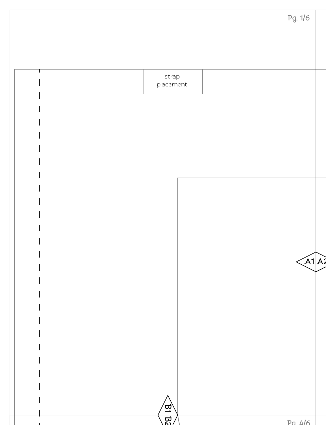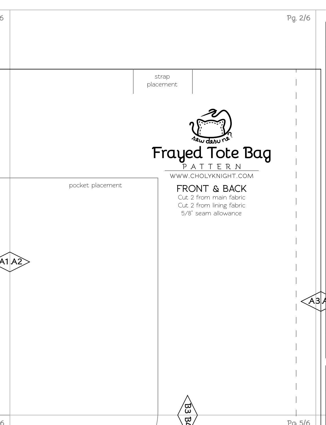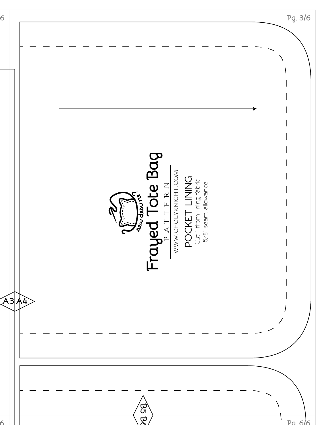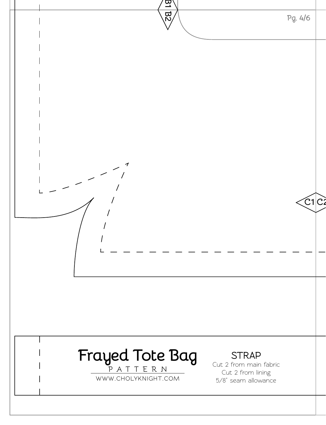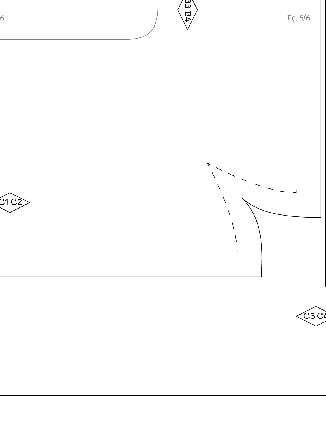